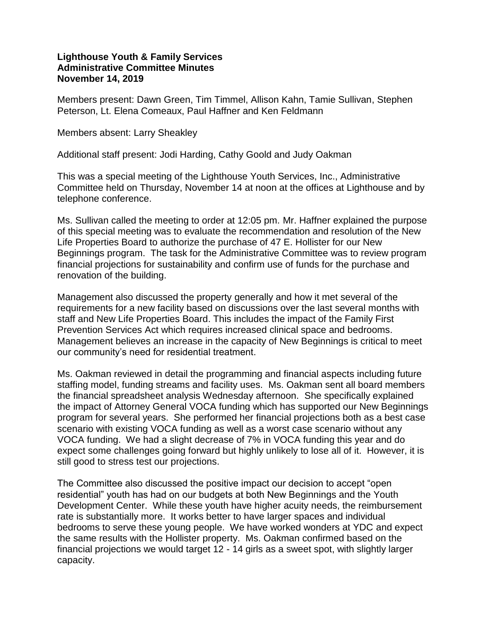## **Lighthouse Youth & Family Services Administrative Committee Minutes November 14, 2019**

Members present: Dawn Green, Tim Timmel, Allison Kahn, Tamie Sullivan, Stephen Peterson, Lt. Elena Comeaux, Paul Haffner and Ken Feldmann

Members absent: Larry Sheakley

Additional staff present: Jodi Harding, Cathy Goold and Judy Oakman

This was a special meeting of the Lighthouse Youth Services, Inc., Administrative Committee held on Thursday, November 14 at noon at the offices at Lighthouse and by telephone conference.

Ms. Sullivan called the meeting to order at 12:05 pm. Mr. Haffner explained the purpose of this special meeting was to evaluate the recommendation and resolution of the New Life Properties Board to authorize the purchase of 47 E. Hollister for our New Beginnings program. The task for the Administrative Committee was to review program financial projections for sustainability and confirm use of funds for the purchase and renovation of the building.

Management also discussed the property generally and how it met several of the requirements for a new facility based on discussions over the last several months with staff and New Life Properties Board. This includes the impact of the Family First Prevention Services Act which requires increased clinical space and bedrooms. Management believes an increase in the capacity of New Beginnings is critical to meet our community's need for residential treatment.

Ms. Oakman reviewed in detail the programming and financial aspects including future staffing model, funding streams and facility uses. Ms. Oakman sent all board members the financial spreadsheet analysis Wednesday afternoon. She specifically explained the impact of Attorney General VOCA funding which has supported our New Beginnings program for several years. She performed her financial projections both as a best case scenario with existing VOCA funding as well as a worst case scenario without any VOCA funding. We had a slight decrease of 7% in VOCA funding this year and do expect some challenges going forward but highly unlikely to lose all of it. However, it is still good to stress test our projections.

The Committee also discussed the positive impact our decision to accept "open residential" youth has had on our budgets at both New Beginnings and the Youth Development Center. While these youth have higher acuity needs, the reimbursement rate is substantially more. It works better to have larger spaces and individual bedrooms to serve these young people. We have worked wonders at YDC and expect the same results with the Hollister property. Ms. Oakman confirmed based on the financial projections we would target 12 - 14 girls as a sweet spot, with slightly larger capacity.